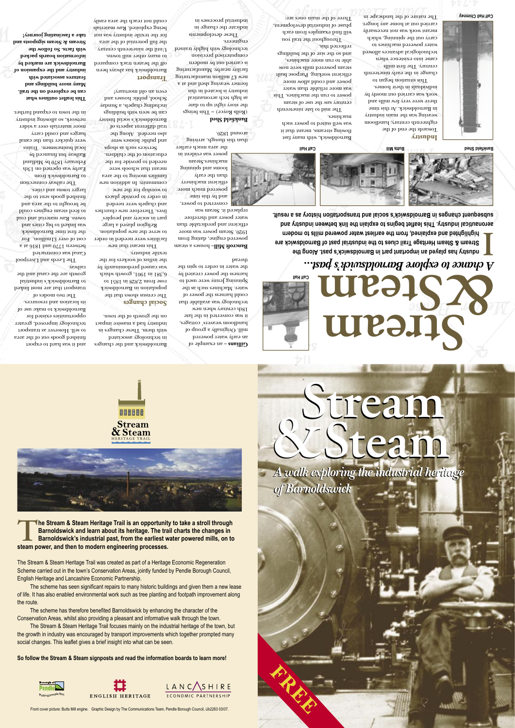# *A chance to explore Barnoldswick's past...*

 – an example of **Gillians** an early water powered mill. Originally a group of handloom weavers' cottages, it was converted in the late  $18$ th century when new

**ndustry has played an important part in Barnoldswick's past. Along the Stream & Steam Heritage Trail clues to the industrial past of Barnoldswick are highlighted and explained, from the earliest water powered mills to modern aeronautical industry. This leaflet begins to explain the link between industry and I**

technology was available that could harawer of water. Machines such as the Spinning Jeuna need to harness the power created by the water in order to spin the pread:

**subsequent changes in Barnoldswick's social and transportation history as a result.** 



Bancroft Mill-houses a steam powered engine, dating from 1920. Steam power was more efficient and predictable than water power and therefore replaced it. Steam was

converted to power, and by this time powered much more efficient machinery

than though and the sum is a around 1820.

#### **Bankfield Shed**

**Social changes** The census shows that the population in Barnoldswick rose from 2,828 in 1851 to 6,381 in 1901, growth which was caused predominantly by the influx of workers for the

than the early looms and spinning machines.Steam power was evident in

the area much earlier

(Rolls Royce) – This brings the story right up to date as high tech aeronautical industry is located in this former weaving shed and at a new £7 million manufacturing facility nearby. Manufacturing is carried out by modern computerised precision technology with highly trained engineers.

These developments indicate the change in industrial processes in

Barnoldswick has always been off the beaten track compared to many other mill towns. Until the nineteenth century the full potential of the area for the textile industry was not being exploited. Raw materials could not reach the area easily

The two modes of transport that are most linked to Barnoldswick's industrial growth are the canal and the railway.

> in technology associated with them. These changes in

on the growth of the town.

textile industry.

 This meant that new facilities were needed in order to serve the new population. Religion played a large part in society and peoples' lives. Therefore new churches and chapels were needed in order to provide places to worspip for the new community. In addition new families moving to the area meant that schools were needed to provide for the education of the children. Services such as shops and public houses were also needed. Along the trail different aspects of Barnoldswick's social history can be seen with buildings including chapels, a Sunday School, public houses and even an old mortuary!

century. The first mills came into existence when technological advances allowed water powered machines to carry out the spinning, which meant work was not necessarily carried out at home any longer. The nature of the landscape in

Barnoldswick, with many fast fl owing streams, meant that it was well suited to power such

Barnoldswick and the changes industry had a massive impact and it was hard to export fi nished goods out of the area to sell. However as transport technology improved, greater opportunities existed for Barnoldswick to make use of its location and resources.

power to run the machines. This was more reliable than water power and could allow more efficient working. Purpose built steam powered mills were now able to run more machines, and so the size of the buildings reflected this.

will find examples from each phase of industrial development, Three of the main ones are:

**Transport**

**The Stream & Steam Heritage Trail is an opportunity to take a stroll through Barnoldswick and learn about its heritage. The trail charts the changes in Barnoldswick's industrial past, from the earliest water powered mills, on to** 

 The Leeds and Liverpool Canal was constructed between 1770 and 1816 at a cost of over £1million. For the firme Barnoldswick was linked to big cities and towns. Raw material and coal to feed steam engines could be brought to the area and

fi nished goods sent to the

larger towns and cities. The railway connection to Barnoldswick from Earby was opened on 13th February 1870 by Midland Railway but financed by local businessmen. Trains were quicker than the canal barges and could carry more materials over a wider

network, so allowing industry in the town to expand further.

**This leafl et outlines what can be explored on the trail. Many more buildings and features associated with industry and the expansion of Barnoldswick are marked by information boards packed with facts. So follow the Stream & Steam signposts and take a fascinating journey!**

**Industry** Towards the end of the eighteenth century, handloom weaving was the main industry in Barnoldswick. At this time there were very few mills and work was carried out mostly by individuals in their homes. This situation began to change in the early nineteenth

machines. The mid to late nineteenth century saw the use of steam

Throughout the trail you





**THE BEE** Stream<br>& Steam

**steam power, and then to modern engineering processes.**

The Stream & Steam Heritage Trail was created as part of a Heritage Economic Regeneration Scheme carried out in the town's Conservation Areas, jointly funded by Pendle Borough Council, English Heritage and Lancashire Economic Partnership.

**Stream Steam & Calf Hall**

 The scheme has seen significant repairs to many historic buildings and given them a new lease of life. It has also enabled environmental work such as tree planting and footpath improvement along the route.

 The scheme has therefore benefited Barnoldswick by enhancing the character of the Conservation Areas, whilst also providing a pleasant and informative walk through the town.

 The Stream & Steam Heritage Trail focuses mainly on the industrial heritage of the town, but the growth in industry was encouraged by transport improvements which together prompted many social changes. This leaflet gives a brief insight into what can be seen.

**So follow the Stream & Steam signposts and read the information boards to learn more!**





**Stream &**

**Steam**

*A walk exploring the industrial heritage A walk exploring the industrial heritage* 

**Stream &**

*of Barnoldswick of Barnoldswick*

**Steam**